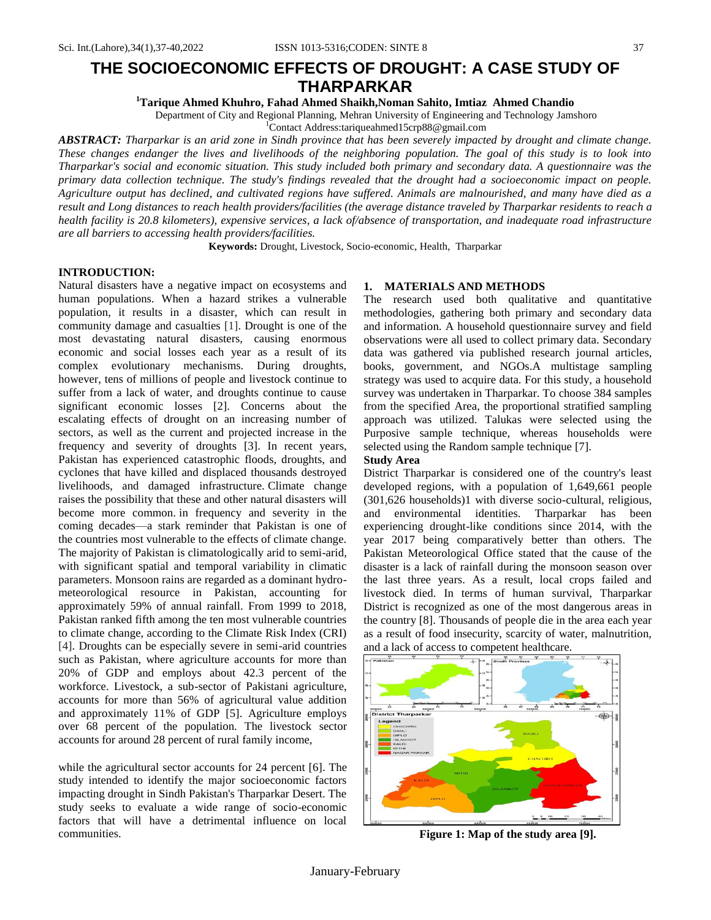# **THE SOCIOECONOMIC EFFECTS OF DROUGHT: A CASE STUDY OF THARPARKAR**

**<sup>1</sup>Tarique Ahmed Khuhro, Fahad Ahmed Shaikh,Noman Sahito, Imtiaz Ahmed Chandio**

Department of City and Regional Planning, Mehran University of Engineering and Technology Jamshoro

<sup>1</sup>Contact Address:tariqueahmed15crp88@gmail.com

*ABSTRACT: Tharparkar is an arid zone in Sindh province that has been severely impacted by drought and climate change. These changes endanger the lives and livelihoods of the neighboring population. The goal of this study is to look into Tharparkar's social and economic situation. This study included both primary and secondary data. A questionnaire was the primary data collection technique. The study's findings revealed that the drought had a socioeconomic impact on people. Agriculture output has declined, and cultivated regions have suffered. Animals are malnourished, and many have died as a result and Long distances to reach health providers/facilities (the average distance traveled by Tharparkar residents to reach a health facility is 20.8 kilometers), expensive services, a lack of/absence of transportation, and inadequate road infrastructure are all barriers to accessing health providers/facilities.*

**Keywords:** Drought, Livestock, Socio-economic, Health, Tharparkar

#### **INTRODUCTION:**

Natural disasters have a negative impact on ecosystems and human populations. When a hazard strikes a vulnerable population, it results in a disaster, which can result in community damage and casualties [1]. Drought is one of the most devastating natural disasters, causing enormous economic and social losses each year as a result of its complex evolutionary mechanisms. During droughts, however, tens of millions of people and livestock continue to suffer from a lack of water, and droughts continue to cause significant economic losses [2]. Concerns about the escalating effects of drought on an increasing number of sectors, as well as the current and projected increase in the frequency and severity of droughts [3]. In recent years, Pakistan has experienced catastrophic floods, droughts, and cyclones that have killed and displaced thousands destroyed livelihoods, and damaged infrastructure. Climate change raises the possibility that these and other natural disasters will become more common. in frequency and severity in the coming decades—a stark reminder that Pakistan is one of the countries most vulnerable to the effects of climate change. The majority of Pakistan is climatologically arid to semi-arid, with significant spatial and temporal variability in climatic parameters. Monsoon rains are regarded as a dominant hydrometeorological resource in Pakistan, accounting for approximately 59% of annual rainfall. From 1999 to 2018, Pakistan ranked fifth among the ten most vulnerable countries to climate change, according to the Climate Risk Index (CRI) [4]. Droughts can be especially severe in semi-arid countries such as Pakistan, where agriculture accounts for more than 20% of GDP and employs about 42.3 percent of the workforce. Livestock, a sub-sector of Pakistani agriculture, accounts for more than 56% of agricultural value addition and approximately 11% of GDP [5]. Agriculture employs over 68 percent of the population. The livestock sector accounts for around 28 percent of rural family income,

while the agricultural sector accounts for 24 percent [6]. The study intended to identify the major socioeconomic factors impacting drought in Sindh Pakistan's Tharparkar Desert. The study seeks to evaluate a wide range of socio-economic factors that will have a detrimental influence on local communities.

### **1. MATERIALS AND METHODS**

The research used both qualitative and quantitative methodologies, gathering both primary and secondary data and information. A household questionnaire survey and field observations were all used to collect primary data. Secondary data was gathered via published research journal articles, books, government, and NGOs.A multistage sampling strategy was used to acquire data. For this study, a household survey was undertaken in Tharparkar. To choose 384 samples from the specified Area, the proportional stratified sampling approach was utilized. Talukas were selected using the Purposive sample technique, whereas households were selected using the Random sample technique [7].

#### **Study Area**

District Tharparkar is considered one of the country's least developed regions, with a population of 1,649,661 people (301,626 households)1 with diverse socio-cultural, religious, and environmental identities. Tharparkar has been experiencing drought-like conditions since 2014, with the year 2017 being comparatively better than others. The Pakistan Meteorological Office stated that the cause of the disaster is a lack of rainfall during the monsoon season over the last three years. As a result, local crops failed and livestock died. In terms of human survival, Tharparkar District is recognized as one of the most dangerous areas in the country [8]. Thousands of people die in the area each year as a result of food insecurity, scarcity of water, malnutrition, and a lack of access to competent healthcare.



**Figure 1: Map of the study area [9].**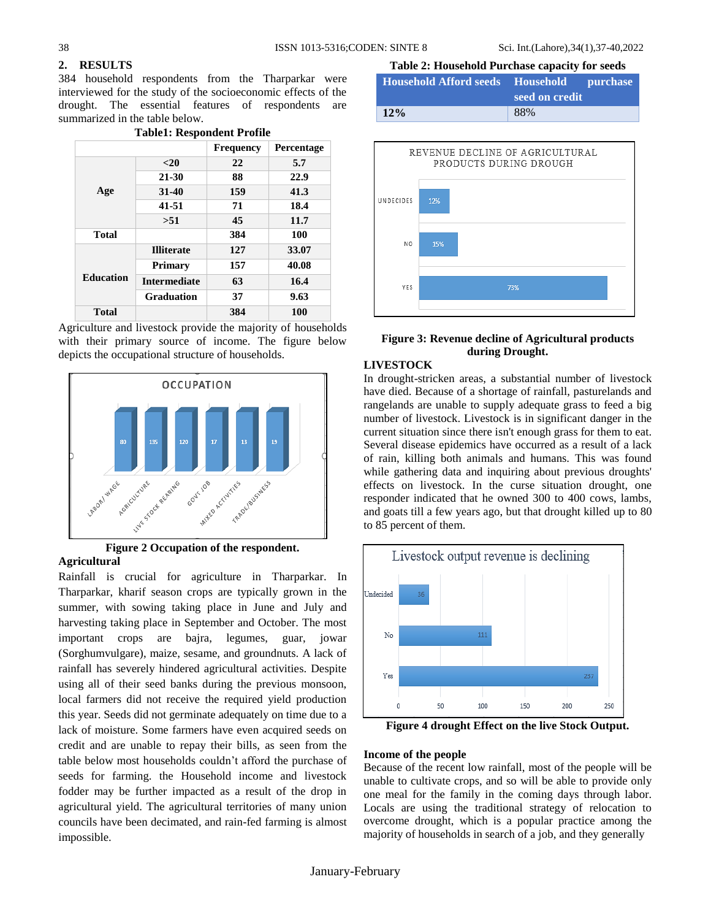# **2. RESULTS**

384 household respondents from the Tharparkar were interviewed for the study of the socioeconomic effects of the drought. The essential features of respondents are summarized in the table below. **Table1: Respondent Profile**

| Tabiel: Respondent Prollie |  |  |
|----------------------------|--|--|
| Percentage                 |  |  |
| 5.7                        |  |  |
| 22.9                       |  |  |
| 41.3                       |  |  |
| 18.4                       |  |  |
| 11.7                       |  |  |
| 100                        |  |  |
| 33.07                      |  |  |
| 40.08                      |  |  |
| 16.4                       |  |  |
| 9.63                       |  |  |
| 100                        |  |  |
|                            |  |  |

# Agriculture and livestock provide the majority of households with their primary source of income. The figure below depicts the occupational structure of households.



## **Figure 2 Occupation of the respondent. Agricultural**

Rainfall is crucial for agriculture in Tharparkar. In Tharparkar, kharif season crops are typically grown in the summer, with sowing taking place in June and July and harvesting taking place in September and October. The most important crops are bajra, legumes, guar, jowar (Sorghumvulgare), maize, sesame, and groundnuts. A lack of rainfall has severely hindered agricultural activities. Despite using all of their seed banks during the previous monsoon, local farmers did not receive the required yield production this year. Seeds did not germinate adequately on time due to a lack of moisture. Some farmers have even acquired seeds on credit and are unable to repay their bills, as seen from the table below most households couldn't afford the purchase of seeds for farming. the Household income and livestock fodder may be further impacted as a result of the drop in agricultural yield. The agricultural territories of many union councils have been decimated, and rain-fed farming is almost impossible.

# **Table 2: Household Purchase capacity for seeds**

| <b>Household Afford seeds</b> Household purchase | seed on credit |
|--------------------------------------------------|----------------|
| 12%                                              | 88%            |



### **Figure 3: Revenue decline of Agricultural products during Drought.**

# **LIVESTOCK**

In drought-stricken areas, a substantial number of livestock have died. Because of a shortage of rainfall, pasturelands and rangelands are unable to supply adequate grass to feed a big number of livestock. Livestock is in significant danger in the current situation since there isn't enough grass for them to eat. Several disease epidemics have occurred as a result of a lack of rain, killing both animals and humans. This was found while gathering data and inquiring about previous droughts' effects on livestock. In the curse situation drought, one responder indicated that he owned 300 to 400 cows, lambs, and goats till a few years ago, but that drought killed up to 80 to 85 percent of them.



**Figure 4 drought Effect on the live Stock Output.**

#### **Income of the people**

Because of the recent low rainfall, most of the people will be unable to cultivate crops, and so will be able to provide only one meal for the family in the coming days through labor. Locals are using the traditional strategy of relocation to overcome drought, which is a popular practice among the majority of households in search of a job, and they generally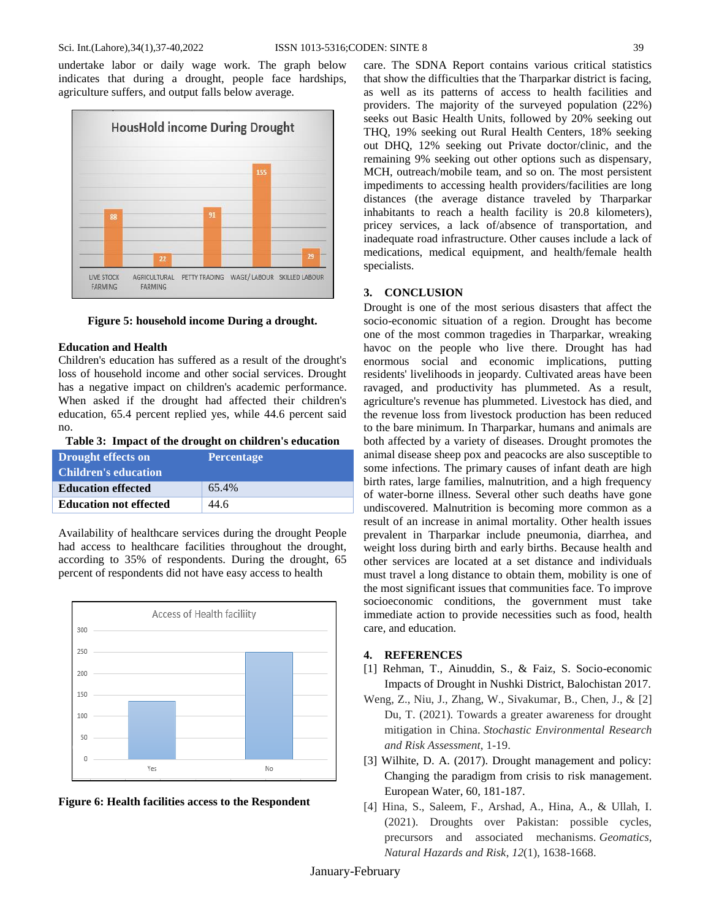undertake labor or daily wage work. The graph below indicates that during a drought, people face hardships, agriculture suffers, and output falls below average.



**Figure 5: household income During a drought.**

#### **Education and Health**

Children's education has suffered as a result of the drought's loss of household income and other social services. Drought has a negative impact on children's academic performance. When asked if the drought had affected their children's education, 65.4 percent replied yes, while 44.6 percent said no.

**Table 3: Impact of the drought on children's education**

| Drought effects on<br><b>Children's education</b> | <b>Percentage</b> |
|---------------------------------------------------|-------------------|
| <b>Education effected</b>                         | 65.4%             |
| <b>Education not effected</b>                     | 44.6              |

Availability of healthcare services during the drought People had access to healthcare facilities throughout the drought, according to 35% of respondents. During the drought, 65 percent of respondents did not have easy access to health





care. The SDNA Report contains various critical statistics that show the difficulties that the Tharparkar district is facing, as well as its patterns of access to health facilities and providers. The majority of the surveyed population (22%) seeks out Basic Health Units, followed by 20% seeking out THQ, 19% seeking out Rural Health Centers, 18% seeking out DHQ, 12% seeking out Private doctor/clinic, and the remaining 9% seeking out other options such as dispensary, MCH, outreach/mobile team, and so on. The most persistent impediments to accessing health providers/facilities are long distances (the average distance traveled by Tharparkar inhabitants to reach a health facility is 20.8 kilometers), pricey services, a lack of/absence of transportation, and inadequate road infrastructure. Other causes include a lack of medications, medical equipment, and health/female health specialists.

#### **3. CONCLUSION**

Drought is one of the most serious disasters that affect the socio-economic situation of a region. Drought has become one of the most common tragedies in Tharparkar, wreaking havoc on the people who live there. Drought has had enormous social and economic implications, putting residents' livelihoods in jeopardy. Cultivated areas have been ravaged, and productivity has plummeted. As a result, agriculture's revenue has plummeted. Livestock has died, and the revenue loss from livestock production has been reduced to the bare minimum. In Tharparkar, humans and animals are both affected by a variety of diseases. Drought promotes the animal disease sheep pox and peacocks are also susceptible to some infections. The primary causes of infant death are high birth rates, large families, malnutrition, and a high frequency of water-borne illness. Several other such deaths have gone undiscovered. Malnutrition is becoming more common as a result of an increase in animal mortality. Other health issues prevalent in Tharparkar include pneumonia, diarrhea, and weight loss during birth and early births. Because health and other services are located at a set distance and individuals must travel a long distance to obtain them, mobility is one of the most significant issues that communities face. To improve socioeconomic conditions, the government must take immediate action to provide necessities such as food, health care, and education.

#### **4. REFERENCES**

- [1] Rehman, T., Ainuddin, S., & Faiz, S. Socio-economic Impacts of Drought in Nushki District, Balochistan 2017.
- Weng, Z., Niu, J., Zhang, W., Sivakumar, B., Chen, J., & [2] Du, T. (2021). Towards a greater awareness for drought mitigation in China. *Stochastic Environmental Research and Risk Assessment*, 1-19.
- [3] Wilhite, D. A. (2017). Drought management and policy: Changing the paradigm from crisis to risk management. European Water, 60, 181-187.
- [4] Hina, S., Saleem, F., Arshad, A., Hina, A., & Ullah, I. (2021). Droughts over Pakistan: possible cycles, precursors and associated mechanisms. *Geomatics, Natural Hazards and Risk*, *12*(1), 1638-1668.